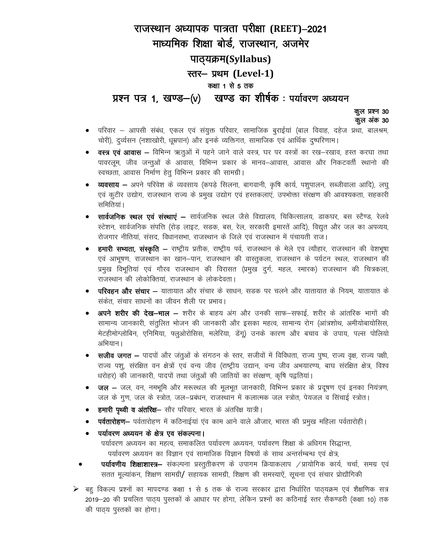## राजस्थान अध्यापक पात्रता परीक्षा (REET)–2021 माध्यमिक शिक्षा बोर्ड, राजस्थान, अजमेर पाठ्यक्रम(Syllabus) स्तर- प्रथम (Level-1) कक्षा 1 से 5 तक खण्ड का शीर्षक : पर्यावरण अध्ययन प्रश्न पत्र 1, खण्ड—(v)

कुल प्रश्न 30 कूल अंक 30

- परिवार आपसी संबंध, एकल एवं संयुक्त परिवार, सामाजिक बुराईयां (बाल विवाह, दहेज प्रथा, बालश्रम, चोरी), दुर्व्यसन (नशाखोरी, धूम्रपान) और इनके व्यक्तिगत, सामाजिक एवं आर्थिक दुष्परिणाम।
- वस्त्र एवं आवास विभिन्न ऋतुओं में पहने जाने वाले वस्त्र, घर पर वस्त्रों का रख–रखाव, हस्त करघा तथा पावरलूम, जीव जन्तुओं के आवास, विभिन्न प्रकार के मानव—आवास, आवास और निकटवर्ती स्थानो की स्वच्छता, आवास निर्माण हेतु विभिन्न प्रकार की सामग्री।
- **व्यवसाय —** अपने परिवेश के व्यवसाय (कपड़े सिलना, बागवानी, कृषि कार्य, पशुपालन, सब्जीवाला आदि), लघु एवं कूटीर उद्योग, राजस्थान राज्य के प्रमुख उद्योग एवं हस्तकलाएं, उपभोक्ता संरक्षण की आवश्यकता, सहकारी समितियां ।
- **सार्वजनिक स्थल एवं संस्थाएं –** सार्वजनिक स्थल जैसे विद्यालय, चिकित्सालय, डाकघर, बस स्टैण्ड, रेलवे स्टेशन, सार्वजनिक संपत्ति (रोड़ लाइट, सडक, बस, रेल, सरकारी इमारतें आदि), विद्युत और जल का अपव्यय, रोजगार नीतियां, संसद, विधानसभा, राजस्थान के जिले एवं राजस्थान में पंचायती राज।
- हमारी सभ्यता, संस्कृति राष्ट्रीय प्रतीक, राष्ट्रीय पर्व, राजस्थान के मेले एव त्यौहार, राजस्थान की वेशभूषा एवं आभूषण, राजस्थान का खान-पान, राजस्थान की वास्तुकला, राजस्थान के पर्यटन स्थल, राजस्थान की प्रमुख विभूतियां एवं गौरव राजस्थान की विरासत (प्रमुख दुर्ग, महल, स्मारक) राजस्थान की चित्रकला, राजस्थान की लोकोक्तियां. राजस्थान के लोकदेवता।
- **परिवहन और संचार —** यातायात और संचार के साधन, सडक पर चलने और यातायात के नियम, यातायात के सकेत, संचार साधनों का जीवन शैली पर प्रभाव।
- **अपने शरीर की देख—भाल —** शरीर के बाहय अंग और उनकी साफ—सफाई, शरीर के आंतरिक भागों की सामान्य जानकारी, संतुलित भोजन की जानकारी और इसका महत्व, सामान्य रोग (आंत्रशोथ, अमीयोबायोसिस, मेटहीमोग्लोबिन, एनिमिया, फ्लूओरोसिस, मलेरिया, डेंगू) उनके कारण और बचाव के उपाय, पल्स पोलियो अभियान।
- **सजीव जगत –** पादपों और जंतूओं के संगठन के स्तर, सजीवों में विविधता, राज्य पुष्प, राज्य वृक्ष, राज्य पक्षी, राज्य पशु, संरक्षित वन क्षेत्रों एवं वन्य जीव (राष्ट्रीय उद्यान, वन्य जीव अभयारण्य, बाघ संरक्षित क्षेत्र, विश्व धरोहर) की जानकारी, पादपों तथा जंतुओं की जातियों का संरक्षण, कृषि पद्वतिया।
- **जल —** जल, वन, नमभूमि और मरूस्थल की मूलभूत जानकारी, विभिन्न प्रकार के प्रदूषण एवं इनका नियंत्रण, जल के गुण, जल के स्त्रोत, जल-प्रबंधन, राजस्थान में कलात्मक जल स्त्रोत, पेयजल व सिंचाई स्त्रोत।
- हमारी पृथ्वी व अंतरिक्ष- सौर परिवार, भारत के अंतरिक्ष यात्री।
- पर्वतारोहण- पर्वतारोहण में कठिनाईयां एव काम आने वाले औजार, भारत की प्रमुख महिला पर्वतारोही।
- पर्यावरण अध्ययन के क्षेत्र एव संकल्पना।

पर्यावरण अध्ययन का महत्व, समाकलित पर्यावरण अध्ययन, पर्यावरण शिक्षा के अधिगम सिद्धान्त, पर्यावरण अध्ययन का विज्ञान एवं सामाजिक विज्ञान विषयों के साथ अन्तर्सम्बन्ध एवं क्षेत्र,

- **पर्यावणीय शिक्षाशास्त्र—** संकल्पना प्रस्तुतीकरण के उपागम क्रियाकलाप ⁄प्रायोगिक कार्य, चर्चा, समग्र एवं सतत मूल्यांकन, शिक्षण सामग्री/ सहायक सामग्री, शिक्षण की समस्याऐं, सूचना एवं संचार प्रोद्यौगिकी
- ▶ बहु विकल्प प्रश्नों का मापदण्ड कक्षा 1 से 5 तक के राज्य सरकार द्वारा निर्धारित पाठ्यक्रम एवं शैक्षणिक सत्र 2019–20 की प्रचलित पाठ्य पुस्तकों के आधार पर होगा, लेकिन प्रश्नों का कठिनाई स्तर सैकण्डरी (कक्षा 10) तक की पाठ्य पुस्तकों का होगा।